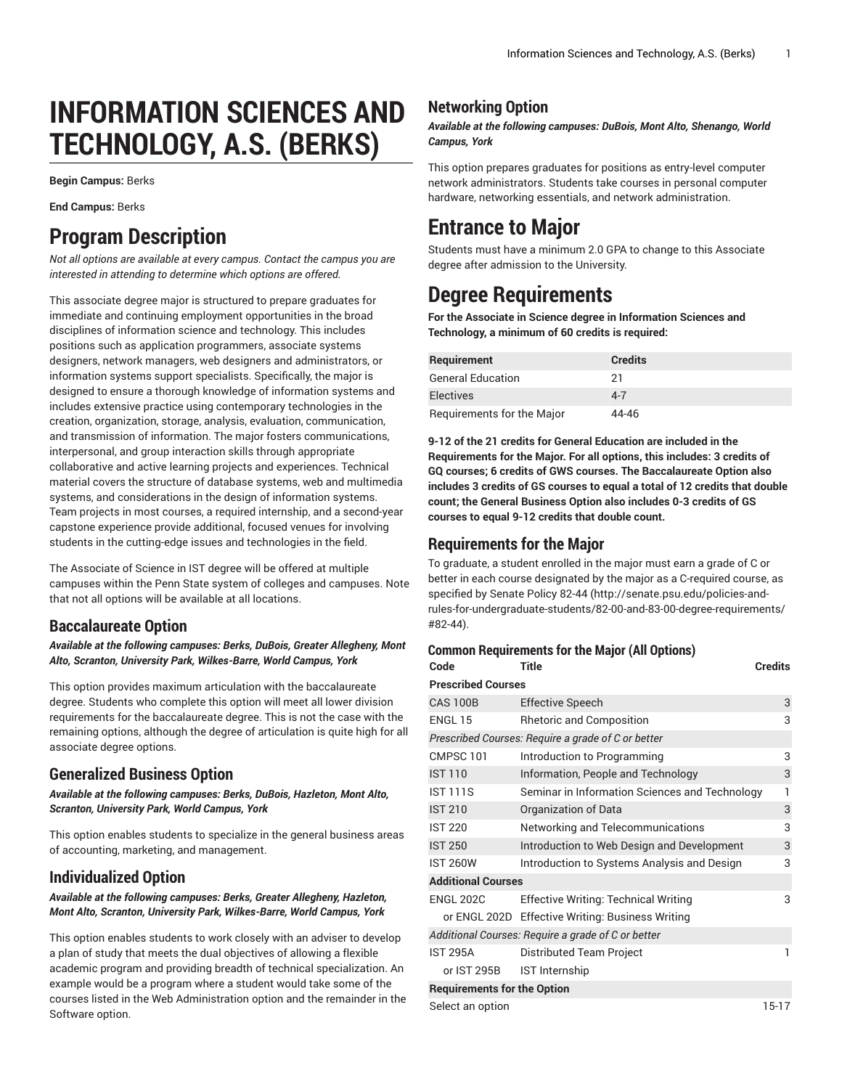# **INFORMATION SCIENCES AND TECHNOLOGY, A.S. (BERKS)**

**Begin Campus:** Berks

**End Campus:** Berks

## **Program Description**

*Not all options are available at every campus. Contact the campus you are interested in attending to determine which options are offered.*

This associate degree major is structured to prepare graduates for immediate and continuing employment opportunities in the broad disciplines of information science and technology. This includes positions such as application programmers, associate systems designers, network managers, web designers and administrators, or information systems support specialists. Specifically, the major is designed to ensure a thorough knowledge of information systems and includes extensive practice using contemporary technologies in the creation, organization, storage, analysis, evaluation, communication, and transmission of information. The major fosters communications, interpersonal, and group interaction skills through appropriate collaborative and active learning projects and experiences. Technical material covers the structure of database systems, web and multimedia systems, and considerations in the design of information systems. Team projects in most courses, a required internship, and a second-year capstone experience provide additional, focused venues for involving students in the cutting-edge issues and technologies in the field.

The Associate of Science in IST degree will be offered at multiple campuses within the Penn State system of colleges and campuses. Note that not all options will be available at all locations.

## **Baccalaureate Option**

*Available at the following campuses: Berks, DuBois, Greater Allegheny, Mont Alto, Scranton, University Park, Wilkes-Barre, World Campus, York*

This option provides maximum articulation with the baccalaureate degree. Students who complete this option will meet all lower division requirements for the baccalaureate degree. This is not the case with the remaining options, although the degree of articulation is quite high for all associate degree options.

## **Generalized Business Option**

*Available at the following campuses: Berks, DuBois, Hazleton, Mont Alto, Scranton, University Park, World Campus, York*

This option enables students to specialize in the general business areas of accounting, marketing, and management.

## **Individualized Option**

#### *Available at the following campuses: Berks, Greater Allegheny, Hazleton, Mont Alto, Scranton, University Park, Wilkes-Barre, World Campus, York*

This option enables students to work closely with an adviser to develop a plan of study that meets the dual objectives of allowing a flexible academic program and providing breadth of technical specialization. An example would be a program where a student would take some of the courses listed in the Web Administration option and the remainder in the Software option.

## **Networking Option**

*Available at the following campuses: DuBois, Mont Alto, Shenango, World Campus, York*

This option prepares graduates for positions as entry-level computer network administrators. Students take courses in personal computer hardware, networking essentials, and network administration.

## **Entrance to Major**

Students must have a minimum 2.0 GPA to change to this Associate degree after admission to the University.

## **Degree Requirements**

**For the Associate in Science degree in Information Sciences and Technology, a minimum of 60 credits is required:**

| Requirement                | <b>Credits</b> |
|----------------------------|----------------|
| General Education          | 21             |
| <b>Electives</b>           | $4 - 7$        |
| Requirements for the Major | 44-46          |

**9-12 of the 21 credits for General Education are included in the Requirements for the Major. For all options, this includes: 3 credits of GQ courses; 6 credits of GWS courses. The Baccalaureate Option also includes 3 credits of GS courses to equal a total of 12 credits that double count; the General Business Option also includes 0-3 credits of GS courses to equal 9-12 credits that double count.**

## **Requirements for the Major**

To graduate, a student enrolled in the major must earn a grade of C or better in each course designated by the major as a C-required course, as specified by [Senate](http://senate.psu.edu/policies-and-rules-for-undergraduate-students/82-00-and-83-00-degree-requirements/#82-44) Policy 82-44 [\(http://senate.psu.edu/policies-and](http://senate.psu.edu/policies-and-rules-for-undergraduate-students/82-00-and-83-00-degree-requirements/#82-44)[rules-for-undergraduate-students/82-00-and-83-00-degree-requirements/](http://senate.psu.edu/policies-and-rules-for-undergraduate-students/82-00-and-83-00-degree-requirements/#82-44) [#82-44\)](http://senate.psu.edu/policies-and-rules-for-undergraduate-students/82-00-and-83-00-degree-requirements/#82-44).

#### **Common Requirements for the Major (All Options)**

| Code                               | <b>Title</b>                                       | <b>Credits</b> |
|------------------------------------|----------------------------------------------------|----------------|
| <b>Prescribed Courses</b>          |                                                    |                |
| <b>CAS 100B</b>                    | <b>Effective Speech</b>                            | 3              |
| ENGL 15                            | <b>Rhetoric and Composition</b>                    | 3              |
|                                    | Prescribed Courses: Require a grade of C or better |                |
| CMPSC 101                          | Introduction to Programming                        | 3              |
| <b>IST 110</b>                     | Information, People and Technology                 | 3              |
| <b>IST 111S</b>                    | Seminar in Information Sciences and Technology     | 1              |
| <b>IST 210</b>                     | Organization of Data                               | 3              |
| <b>IST 220</b>                     | Networking and Telecommunications                  | 3              |
| <b>IST 250</b>                     | Introduction to Web Design and Development         | 3              |
| <b>IST 260W</b>                    | Introduction to Systems Analysis and Design        | 3              |
| <b>Additional Courses</b>          |                                                    |                |
| <b>ENGL 202C</b>                   | <b>Effective Writing: Technical Writing</b>        | 3              |
|                                    | or ENGL 202D Effective Writing: Business Writing   |                |
|                                    | Additional Courses: Require a grade of C or better |                |
| <b>IST 295A</b>                    | Distributed Team Project                           | 1              |
| or IST 295B                        | <b>IST</b> Internship                              |                |
| <b>Requirements for the Option</b> |                                                    |                |
| Select an option                   |                                                    | $15-17$        |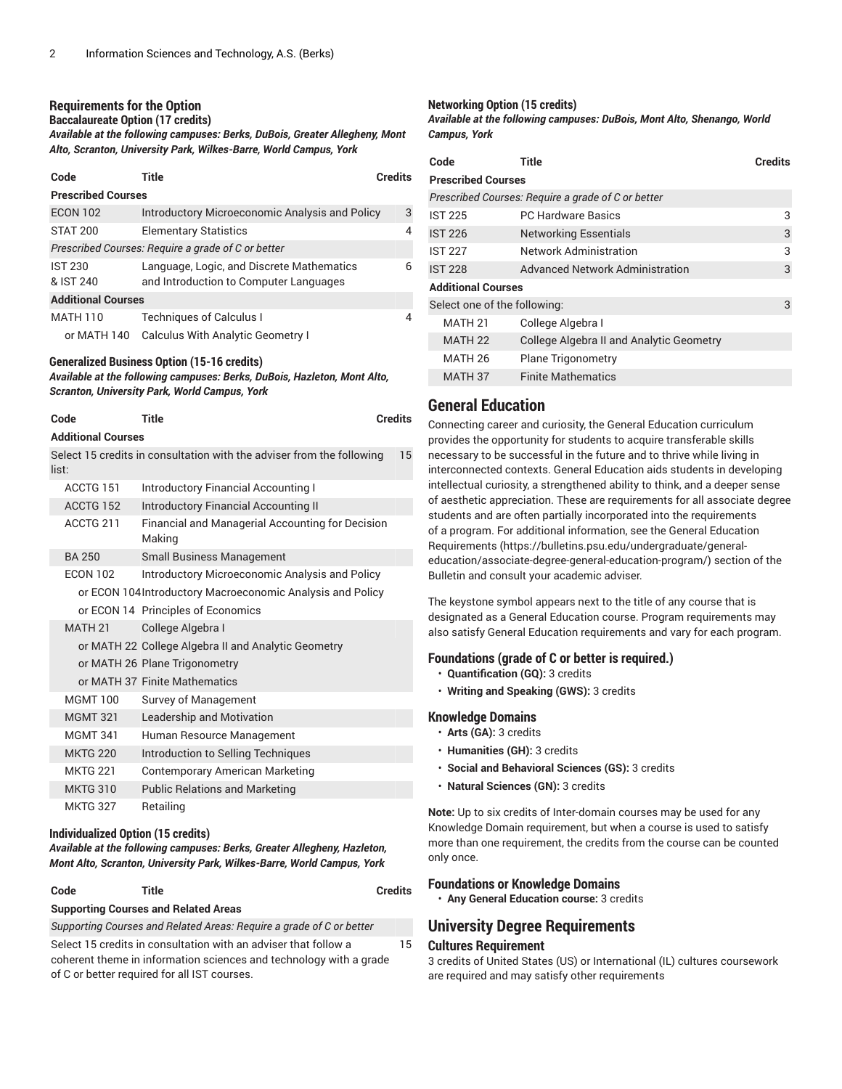### **Requirements for the Option**

#### **Baccalaureate Option (17 credits)**

*Available at the following campuses: Berks, DuBois, Greater Allegheny, Mont Alto, Scranton, University Park, Wilkes-Barre, World Campus, York*

| Code                        | Title                                                                               | <b>Credits</b> |
|-----------------------------|-------------------------------------------------------------------------------------|----------------|
| <b>Prescribed Courses</b>   |                                                                                     |                |
| <b>ECON 102</b>             | Introductory Microeconomic Analysis and Policy                                      | 3              |
| <b>STAT 200</b>             | <b>Elementary Statistics</b>                                                        | 4              |
|                             | Prescribed Courses: Require a grade of C or better                                  |                |
| <b>IST 230</b><br>& IST 240 | Language, Logic, and Discrete Mathematics<br>and Introduction to Computer Languages | 6              |
| <b>Additional Courses</b>   |                                                                                     |                |
| <b>MATH 110</b>             | <b>Techniques of Calculus I</b>                                                     | 4              |
| or MATH 140                 | Calculus With Analytic Geometry I                                                   |                |

## **Generalized Business Option (15-16 credits)**

*Available at the following campuses: Berks, DuBois, Hazleton, Mont Alto, Scranton, University Park, World Campus, York*

| Code                      | Title                                                                 | <b>Credits</b> |
|---------------------------|-----------------------------------------------------------------------|----------------|
| <b>Additional Courses</b> |                                                                       |                |
| list:                     | Select 15 credits in consultation with the adviser from the following | 15             |
| ACCTG 151                 | <b>Introductory Financial Accounting I</b>                            |                |
| ACCTG 152                 | Introductory Financial Accounting II                                  |                |
| ACCTG 211                 | Financial and Managerial Accounting for Decision<br>Making            |                |
| <b>BA 250</b>             | <b>Small Business Management</b>                                      |                |
| <b>ECON 102</b>           | Introductory Microeconomic Analysis and Policy                        |                |
|                           | or ECON 104Introductory Macroeconomic Analysis and Policy             |                |
|                           | or ECON 14 Principles of Economics                                    |                |
| <b>MATH 21</b>            | College Algebra I                                                     |                |
|                           | or MATH 22 College Algebra II and Analytic Geometry                   |                |
|                           | or MATH 26 Plane Trigonometry                                         |                |
|                           | or MATH 37 Finite Mathematics                                         |                |
| <b>MGMT 100</b>           | Survey of Management                                                  |                |
| <b>MGMT 321</b>           | Leadership and Motivation                                             |                |
| <b>MGMT 341</b>           | Human Resource Management                                             |                |
| <b>MKTG 220</b>           | Introduction to Selling Techniques                                    |                |
| <b>MKTG 221</b>           | <b>Contemporary American Marketing</b>                                |                |
| <b>MKTG 310</b>           | <b>Public Relations and Marketing</b>                                 |                |
| <b>MKTG 327</b>           | Retailing                                                             |                |
|                           |                                                                       |                |

#### **Individualized Option (15 credits)**

*Available at the following campuses: Berks, Greater Allegheny, Hazleton, Mont Alto, Scranton, University Park, Wilkes-Barre, World Campus, York*

| ٠<br>×<br>×<br>×<br>. .<br>۰,<br>۰, |
|-------------------------------------|
|-------------------------------------|

## **Code Title Credits**

15

**Supporting Courses and Related Areas**

*Supporting Courses and Related Areas: Require a grade of C or better*

Select 15 credits in consultation with an adviser that follow a coherent theme in information sciences and technology with a grade of C or better required for all IST courses.

#### **Networking Option (15 credits)**

*Available at the following campuses: DuBois, Mont Alto, Shenango, World Campus, York*

| Code                         | Title                                              | Credits |
|------------------------------|----------------------------------------------------|---------|
| <b>Prescribed Courses</b>    |                                                    |         |
|                              | Prescribed Courses: Require a grade of C or better |         |
| <b>IST 225</b>               | <b>PC Hardware Basics</b>                          | 3       |
| <b>IST 226</b>               | <b>Networking Essentials</b>                       | 3       |
| <b>IST 227</b>               | <b>Network Administration</b>                      | 3       |
| <b>IST 228</b>               | <b>Advanced Network Administration</b>             | 3       |
| <b>Additional Courses</b>    |                                                    |         |
| Select one of the following: |                                                    | 3       |
| MATH 21                      | College Algebra I                                  |         |
| MATH <sub>22</sub>           | <b>College Algebra II and Analytic Geometry</b>    |         |
| MATH <sub>26</sub>           | <b>Plane Trigonometry</b>                          |         |
| MATH 37                      | <b>Finite Mathematics</b>                          |         |

## **General Education**

Connecting career and curiosity, the General Education curriculum provides the opportunity for students to acquire transferable skills necessary to be successful in the future and to thrive while living in interconnected contexts. General Education aids students in developing intellectual curiosity, a strengthened ability to think, and a deeper sense of aesthetic appreciation. These are requirements for all associate degree students and are often partially incorporated into the requirements of a program. For additional information, see the General [Education](https://bulletins.psu.edu/undergraduate/general-education/associate-degree-general-education-program/) [Requirements \(https://bulletins.psu.edu/undergraduate/general](https://bulletins.psu.edu/undergraduate/general-education/associate-degree-general-education-program/)[education/associate-degree-general-education-program/\)](https://bulletins.psu.edu/undergraduate/general-education/associate-degree-general-education-program/) section of the Bulletin and consult your academic adviser.

The keystone symbol appears next to the title of any course that is designated as a General Education course. Program requirements may also satisfy General Education requirements and vary for each program.

#### **Foundations (grade of C or better is required.)**

- **Quantification (GQ):** 3 credits
- **Writing and Speaking (GWS):** 3 credits

#### **Knowledge Domains**

- **Arts (GA):** 3 credits
- **Humanities (GH):** 3 credits
- **Social and Behavioral Sciences (GS):** 3 credits
- **Natural Sciences (GN):** 3 credits

**Note:** Up to six credits of Inter-domain courses may be used for any Knowledge Domain requirement, but when a course is used to satisfy more than one requirement, the credits from the course can be counted only once.

#### **Foundations or Knowledge Domains**

• **Any General Education course:** 3 credits

### **University Degree Requirements**

#### **Cultures Requirement**

3 credits of United States (US) or International (IL) cultures coursework are required and may satisfy other requirements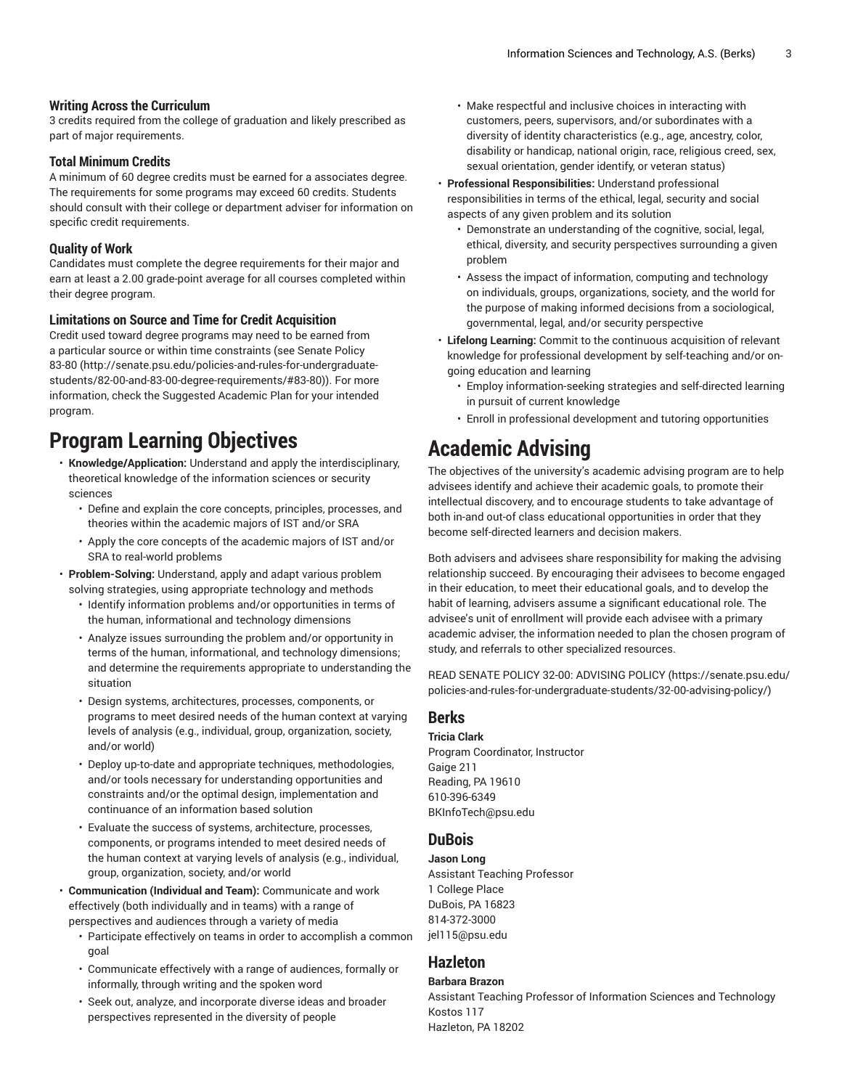#### **Writing Across the Curriculum**

3 credits required from the college of graduation and likely prescribed as part of major requirements.

#### **Total Minimum Credits**

A minimum of 60 degree credits must be earned for a associates degree. The requirements for some programs may exceed 60 credits. Students should consult with their college or department adviser for information on specific credit requirements.

#### **Quality of Work**

Candidates must complete the degree requirements for their major and earn at least a 2.00 grade-point average for all courses completed within their degree program.

#### **Limitations on Source and Time for Credit Acquisition**

Credit used toward degree programs may need to be earned from a particular source or within time constraints (see [Senate](http://senate.psu.edu/policies-and-rules-for-undergraduate-students/82-00-and-83-00-degree-requirements/#83-80) Policy [83-80](http://senate.psu.edu/policies-and-rules-for-undergraduate-students/82-00-and-83-00-degree-requirements/#83-80) ([http://senate.psu.edu/policies-and-rules-for-undergraduate](http://senate.psu.edu/policies-and-rules-for-undergraduate-students/82-00-and-83-00-degree-requirements/#83-80)[students/82-00-and-83-00-degree-requirements/#83-80](http://senate.psu.edu/policies-and-rules-for-undergraduate-students/82-00-and-83-00-degree-requirements/#83-80))). For more information, check the Suggested Academic Plan for your intended program.

## **Program Learning Objectives**

- **Knowledge/Application:** Understand and apply the interdisciplinary, theoretical knowledge of the information sciences or security sciences
	- Define and explain the core concepts, principles, processes, and theories within the academic majors of IST and/or SRA
	- Apply the core concepts of the academic majors of IST and/or SRA to real-world problems
- **Problem-Solving:** Understand, apply and adapt various problem solving strategies, using appropriate technology and methods
	- Identify information problems and/or opportunities in terms of the human, informational and technology dimensions
	- Analyze issues surrounding the problem and/or opportunity in terms of the human, informational, and technology dimensions; and determine the requirements appropriate to understanding the situation
	- Design systems, architectures, processes, components, or programs to meet desired needs of the human context at varying levels of analysis (e.g., individual, group, organization, society, and/or world)
	- Deploy up-to-date and appropriate techniques, methodologies, and/or tools necessary for understanding opportunities and constraints and/or the optimal design, implementation and continuance of an information based solution
	- Evaluate the success of systems, architecture, processes, components, or programs intended to meet desired needs of the human context at varying levels of analysis (e.g., individual, group, organization, society, and/or world
- **Communication (Individual and Team):** Communicate and work effectively (both individually and in teams) with a range of perspectives and audiences through a variety of media
	- Participate effectively on teams in order to accomplish a common goal
	- Communicate effectively with a range of audiences, formally or informally, through writing and the spoken word
	- Seek out, analyze, and incorporate diverse ideas and broader perspectives represented in the diversity of people
- Make respectful and inclusive choices in interacting with customers, peers, supervisors, and/or subordinates with a diversity of identity characteristics (e.g., age, ancestry, color, disability or handicap, national origin, race, religious creed, sex, sexual orientation, gender identify, or veteran status)
- **Professional Responsibilities:** Understand professional responsibilities in terms of the ethical, legal, security and social aspects of any given problem and its solution
	- Demonstrate an understanding of the cognitive, social, legal, ethical, diversity, and security perspectives surrounding a given problem
	- Assess the impact of information, computing and technology on individuals, groups, organizations, society, and the world for the purpose of making informed decisions from a sociological, governmental, legal, and/or security perspective
- **Lifelong Learning:** Commit to the continuous acquisition of relevant knowledge for professional development by self-teaching and/or ongoing education and learning
	- Employ information-seeking strategies and self-directed learning in pursuit of current knowledge
	- Enroll in professional development and tutoring opportunities

## **Academic Advising**

The objectives of the university's academic advising program are to help advisees identify and achieve their academic goals, to promote their intellectual discovery, and to encourage students to take advantage of both in-and out-of class educational opportunities in order that they become self-directed learners and decision makers.

Both advisers and advisees share responsibility for making the advising relationship succeed. By encouraging their advisees to become engaged in their education, to meet their educational goals, and to develop the habit of learning, advisers assume a significant educational role. The advisee's unit of enrollment will provide each advisee with a primary academic adviser, the information needed to plan the chosen program of study, and referrals to other specialized resources.

READ SENATE POLICY 32-00: [ADVISING](https://senate.psu.edu/policies-and-rules-for-undergraduate-students/32-00-advising-policy/) POLICY ([https://senate.psu.edu/](https://senate.psu.edu/policies-and-rules-for-undergraduate-students/32-00-advising-policy/) [policies-and-rules-for-undergraduate-students/32-00-advising-policy/](https://senate.psu.edu/policies-and-rules-for-undergraduate-students/32-00-advising-policy/))

### **Berks**

#### **Tricia Clark**

Program Coordinator, Instructor Gaige 211 Reading, PA 19610 610-396-6349 [BKInfoTech@psu.edu](mailto:BKInfoTech@psu.edu)

### **DuBois**

**Jason Long** Assistant Teaching Professor 1 College Place DuBois, PA 16823 814-372-3000 [jel115@psu.edu](mailto:jel115@psu.edu)

## **Hazleton**

#### **Barbara Brazon**

Assistant Teaching Professor of Information Sciences and Technology Kostos 117 Hazleton, PA 18202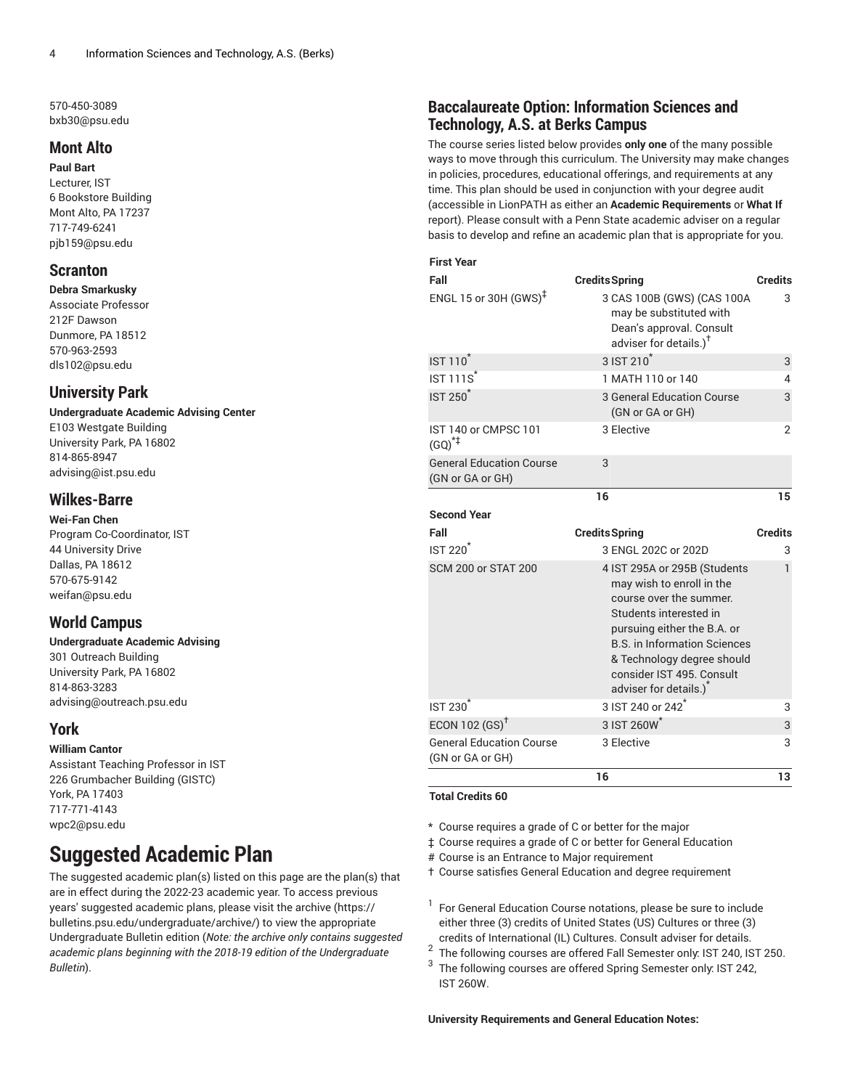570-450-3089 [bxb30@psu.edu](mailto:bxb30@psu.edu)

## **Mont Alto**

**Paul Bart** Lecturer, IST 6 Bookstore Building Mont Alto, PA 17237 717-749-6241 [pjb159@psu.edu](mailto:pjb159@psu.edu)

## **Scranton**

**Debra Smarkusky** Associate Professor 212F Dawson Dunmore, PA 18512 570-963-2593 [dls102@psu.edu](mailto:dls102@psu.edu)

## **University Park**

#### **Undergraduate Academic Advising Center** E103 Westgate Building

University Park, PA 16802 814-865-8947 [advising@ist.psu.edu](mailto:advising@ist.psu.edu)

## **Wilkes-Barre**

**Wei-Fan Chen** Program Co-Coordinator, IST 44 University Drive Dallas, PA 18612 570-675-9142 [weifan@psu.edu](mailto:weifan@psu.edu)

## **World Campus**

#### **Undergraduate Academic Advising** 301 Outreach Building University Park, PA 16802 814-863-3283 [advising@outreach.psu.edu](mailto:advising@outreach.psu.edu)

### **York**

#### **William Cantor**

Assistant Teaching Professor in IST 226 Grumbacher Building (GISTC) York, PA 17403 717-771-4143 [wpc2@psu.edu](mailto:wpc2@psu.edu)

## **Suggested Academic Plan**

The suggested academic plan(s) listed on this page are the plan(s) that are in effect during the 2022-23 academic year. To access previous years' suggested academic plans, please visit the [archive](https://bulletins.psu.edu/undergraduate/archive/) ([https://](https://bulletins.psu.edu/undergraduate/archive/) [bulletins.psu.edu/undergraduate/archive/](https://bulletins.psu.edu/undergraduate/archive/)) to view the appropriate Undergraduate Bulletin edition (*Note: the archive only contains suggested academic plans beginning with the 2018-19 edition of the Undergraduate Bulletin*).

## **Baccalaureate Option: Information Sciences and Technology, A.S. at Berks Campus**

The course series listed below provides **only one** of the many possible ways to move through this curriculum. The University may make changes in policies, procedures, educational offerings, and requirements at any time. This plan should be used in conjunction with your degree audit (accessible in LionPATH as either an **Academic Requirements** or **What If** report). Please consult with a Penn State academic adviser on a regular basis to develop and refine an academic plan that is appropriate for you.

#### **First Year**

| Fall                                                | <b>Credits Spring</b>                                                                                                                                                                                                                                                    | <b>Credits</b> |
|-----------------------------------------------------|--------------------------------------------------------------------------------------------------------------------------------------------------------------------------------------------------------------------------------------------------------------------------|----------------|
| ENGL 15 or 30H $(GWS)^{\ddagger}$                   | 3 CAS 100B (GWS) (CAS 100A<br>may be substituted with<br>Dean's approval. Consult<br>adviser for details.) <sup>†</sup>                                                                                                                                                  | 3              |
| <b>IST 110</b>                                      | $3$ IST $210^*$                                                                                                                                                                                                                                                          | 3              |
| $IST111S^*$                                         | 1 MATH 110 or 140                                                                                                                                                                                                                                                        | 4              |
| <b>IST 250<sup>*</sup></b>                          | <b>3 General Education Course</b><br>(GN or GA or GH)                                                                                                                                                                                                                    | 3              |
| IST 140 or CMPSC 101<br>$(GQ)^{*}$                  | 3 Elective                                                                                                                                                                                                                                                               | $\overline{2}$ |
| <b>General Education Course</b><br>(GN or GA or GH) | 3                                                                                                                                                                                                                                                                        |                |
|                                                     | 16                                                                                                                                                                                                                                                                       | 15             |
| <b>Second Year</b>                                  |                                                                                                                                                                                                                                                                          |                |
|                                                     |                                                                                                                                                                                                                                                                          |                |
| Fall                                                | <b>Credits Spring</b>                                                                                                                                                                                                                                                    | <b>Credits</b> |
| $IST 220*$                                          | 3 ENGL 202C or 202D                                                                                                                                                                                                                                                      | 3              |
| <b>SCM 200 or STAT 200</b>                          | 4 IST 295A or 295B (Students<br>may wish to enroll in the<br>course over the summer.<br>Students interested in<br>pursuing either the B.A. or<br><b>B.S. in Information Sciences</b><br>& Technology degree should<br>consider IST 495. Consult<br>adviser for details.) | 1              |
| IST 230 <sup>*</sup>                                | 3 IST 240 or 242 <sup>*</sup>                                                                                                                                                                                                                                            | 3              |
| ECON 102 $(GS)^{\dagger}$                           | 3 IST 260W <sup>*</sup>                                                                                                                                                                                                                                                  | 3              |
| <b>General Education Course</b><br>(GN or GA or GH) | 3 Elective                                                                                                                                                                                                                                                               | 3              |

#### **Total Credits 60**

- \* Course requires a grade of C or better for the major
- ‡ Course requires a grade of C or better for General Education
- # Course is an Entrance to Major requirement

† Course satisfies General Education and degree requirement

- <sup>1</sup> For General Education Course notations, please be sure to include either three (3) credits of United States (US) Cultures or three (3) credits of International (IL) Cultures. Consult adviser for details.
- 2 The following courses are offered Fall Semester only: IST 240, IST 250.
- 3 The following courses are offered Spring Semester only: IST 242, IST 260W.

#### **University Requirements and General Education Notes:**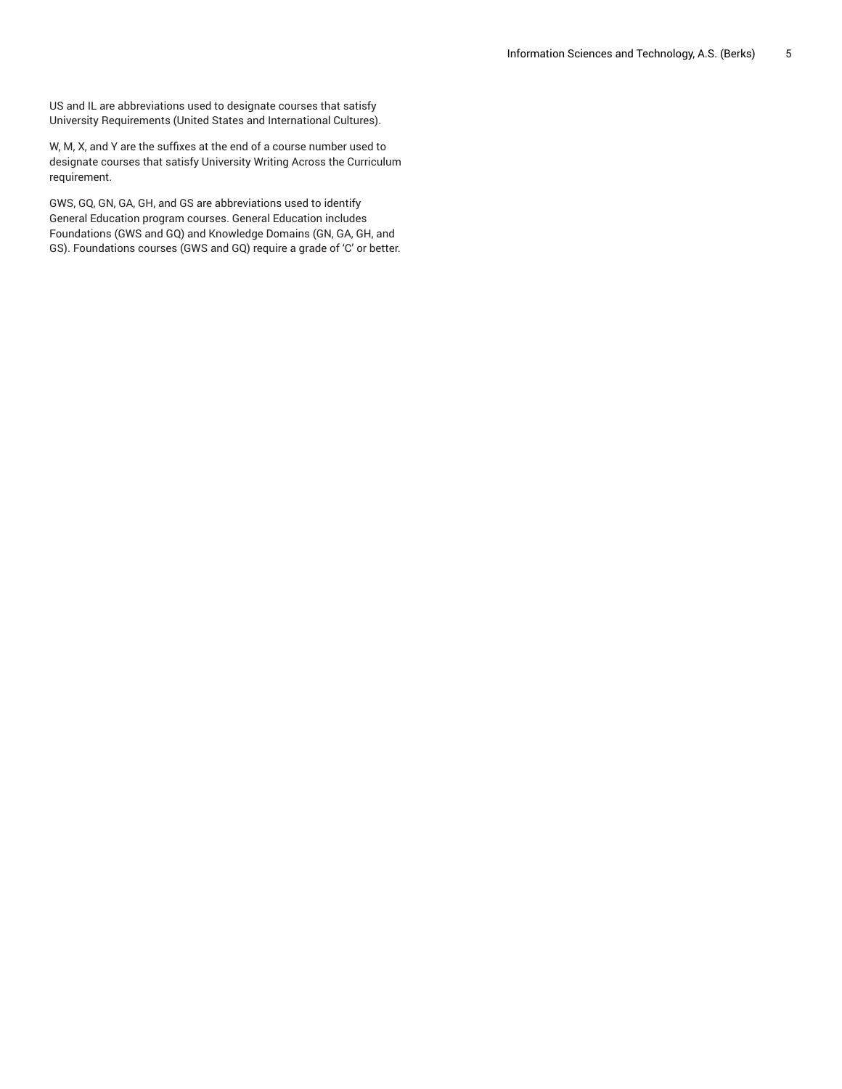US and IL are abbreviations used to designate courses that satisfy University Requirements (United States and International Cultures).

W, M, X, and Y are the suffixes at the end of a course number used to designate courses that satisfy University Writing Across the Curriculum requirement.

GWS, GQ, GN, GA, GH, and GS are abbreviations used to identify General Education program courses. General Education includes Foundations (GWS and GQ) and Knowledge Domains (GN, GA, GH, and GS). Foundations courses (GWS and GQ) require a grade of 'C' or better.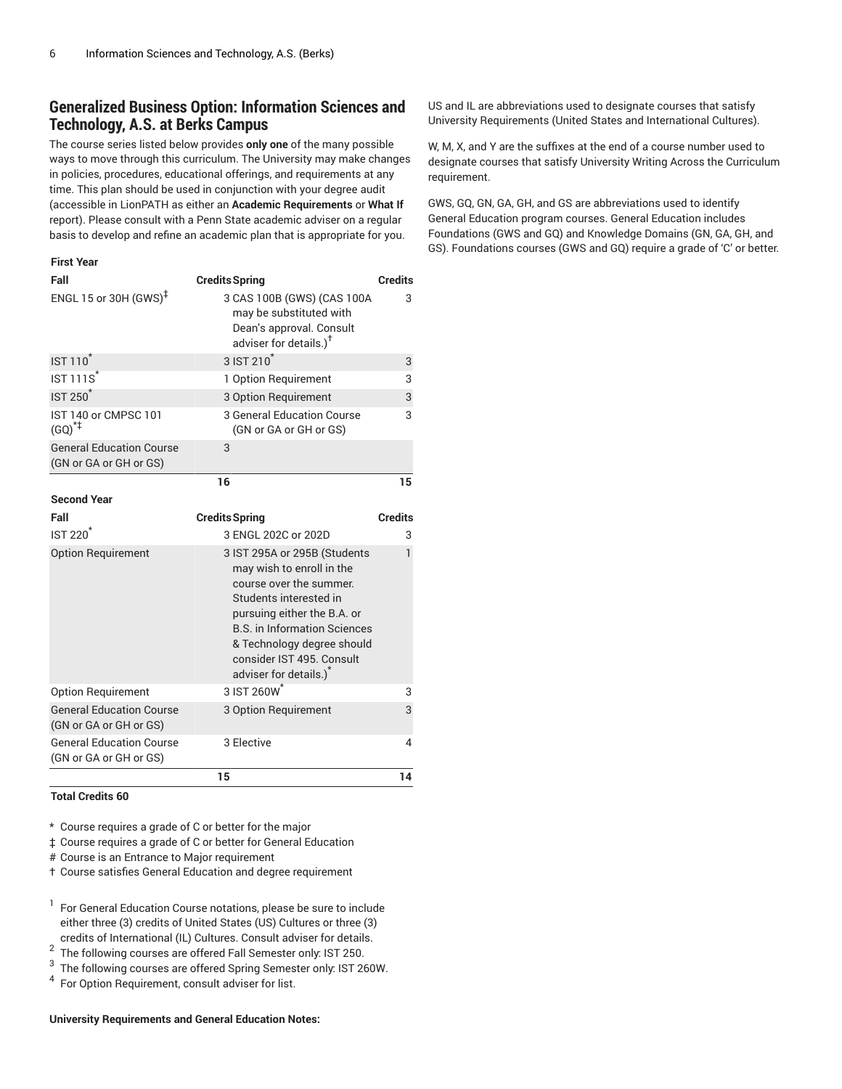## **Generalized Business Option: Information Sciences and Technology, A.S. at Berks Campus**

The course series listed below provides **only one** of the many possible ways to move through this curriculum. The University may make changes in policies, procedures, educational offerings, and requirements at any time. This plan should be used in conjunction with your degree audit (accessible in LionPATH as either an **Academic Requirements** or **What If** report). Please consult with a Penn State academic adviser on a regular basis to develop and refine an academic plan that is appropriate for you.

#### **First Year**

| Fall                                                      | <b>Credits Spring</b>                                                                                                                                                                                                                                                                 | <b>Credits</b> |
|-----------------------------------------------------------|---------------------------------------------------------------------------------------------------------------------------------------------------------------------------------------------------------------------------------------------------------------------------------------|----------------|
| ENGL 15 or 30H (GWS) <sup><math>#</math></sup>            | 3 CAS 100B (GWS) (CAS 100A<br>may be substituted with<br>Dean's approval. Consult<br>adviser for details.) <sup>†</sup>                                                                                                                                                               | 3              |
| $IST 110^{\degree}$                                       | 3 IST 210 <sup>*</sup>                                                                                                                                                                                                                                                                | 3              |
| $IST 111S^*$                                              | 1 Option Requirement                                                                                                                                                                                                                                                                  | 3              |
| <b>IST 250<sup>*</sup></b>                                | 3 Option Requirement                                                                                                                                                                                                                                                                  | 3              |
| IST 140 or CMPSC 101<br>$(GQ)^{*}$                        | 3 General Education Course<br>(GN or GA or GH or GS)                                                                                                                                                                                                                                  | 3              |
| <b>General Education Course</b><br>(GN or GA or GH or GS) | 3                                                                                                                                                                                                                                                                                     |                |
|                                                           | 16                                                                                                                                                                                                                                                                                    | 15             |
| <b>Second Year</b>                                        |                                                                                                                                                                                                                                                                                       |                |
| Fall                                                      | <b>Credits Spring</b>                                                                                                                                                                                                                                                                 | <b>Credits</b> |
| $IST 220*$                                                | 3 ENGL 202C or 202D                                                                                                                                                                                                                                                                   | 3              |
| <b>Option Requirement</b>                                 | 3 IST 295A or 295B (Students<br>may wish to enroll in the<br>course over the summer.<br>Students interested in<br>pursuing either the B.A. or<br><b>B.S. in Information Sciences</b><br>& Technology degree should<br>consider IST 495. Consult<br>adviser for details.) <sup>*</sup> | 1              |
| <b>Option Requirement</b>                                 | 3 IST 260W <sup>*</sup>                                                                                                                                                                                                                                                               | 3              |
| <b>General Education Course</b><br>(GN or GA or GH or GS) | 3 Option Requirement                                                                                                                                                                                                                                                                  | 3              |
| <b>General Education Course</b><br>(GN or GA or GH or GS) | 3 Elective                                                                                                                                                                                                                                                                            | 4              |
|                                                           | 15                                                                                                                                                                                                                                                                                    | 14             |

**Total Credits 60**

\* Course requires a grade of C or better for the major

‡ Course requires a grade of C or better for General Education

# Course is an Entrance to Major requirement

† Course satisfies General Education and degree requirement

<sup>1</sup> For General Education Course notations, please be sure to include either three (3) credits of United States (US) Cultures or three (3) credits of International (IL) Cultures. Consult adviser for details.

2 The following courses are offered Fall Semester only: IST 250.

3 The following courses are offered Spring Semester only: IST 260W.

<sup>4</sup> For Option Requirement, consult adviser for list.

#### **University Requirements and General Education Notes:**

US and IL are abbreviations used to designate courses that satisfy University Requirements (United States and International Cultures).

W, M, X, and Y are the suffixes at the end of a course number used to designate courses that satisfy University Writing Across the Curriculum requirement.

GWS, GQ, GN, GA, GH, and GS are abbreviations used to identify General Education program courses. General Education includes Foundations (GWS and GQ) and Knowledge Domains (GN, GA, GH, and GS). Foundations courses (GWS and GQ) require a grade of 'C' or better.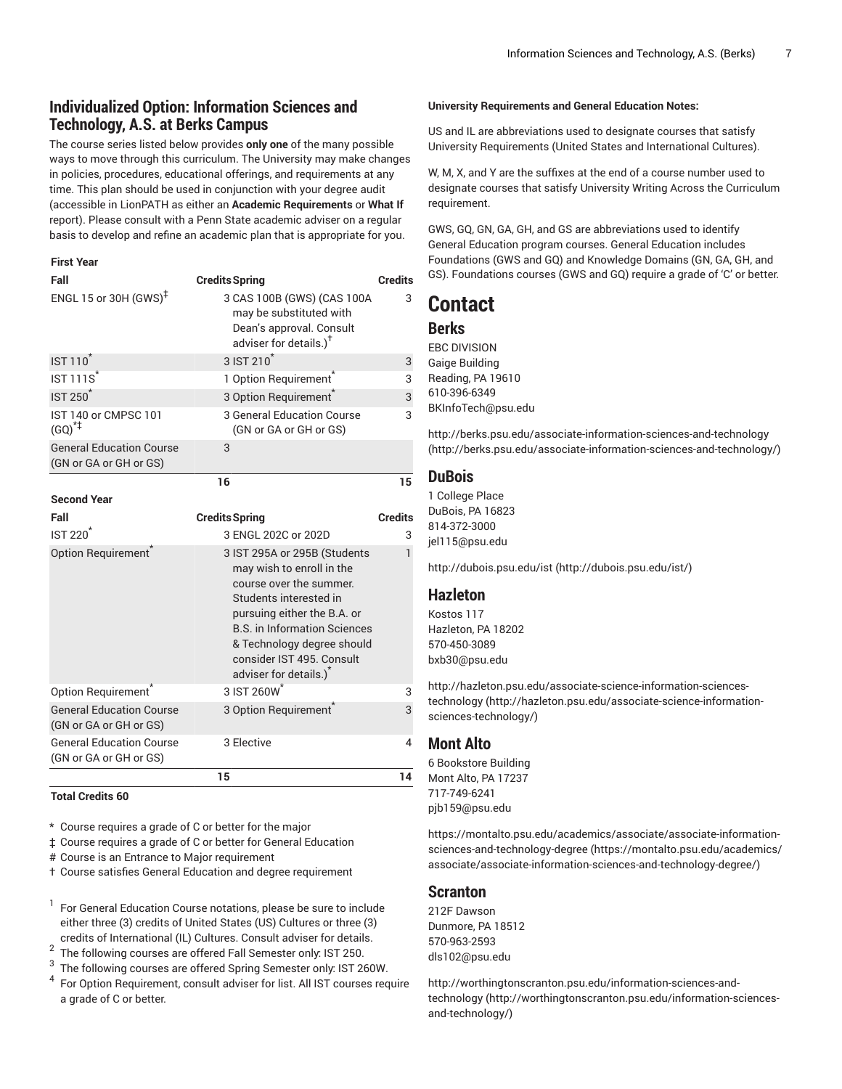## **Individualized Option: Information Sciences and Technology, A.S. at Berks Campus**

The course series listed below provides **only one** of the many possible ways to move through this curriculum. The University may make changes in policies, procedures, educational offerings, and requirements at any time. This plan should be used in conjunction with your degree audit (accessible in LionPATH as either an **Academic Requirements** or **What If** report). Please consult with a Penn State academic adviser on a regular basis to develop and refine an academic plan that is appropriate for you.

#### **First Year**

| Fall                                                      | <b>Credits Spring</b>                                                                                                                                                                                                                                                                 | <b>Credits</b> |
|-----------------------------------------------------------|---------------------------------------------------------------------------------------------------------------------------------------------------------------------------------------------------------------------------------------------------------------------------------------|----------------|
| ENGL 15 or 30H $(GWS)^{\ddagger}$                         | 3 CAS 100B (GWS) (CAS 100A<br>may be substituted with<br>Dean's approval. Consult<br>adviser for details.) <sup>T</sup>                                                                                                                                                               | 3              |
| <b>IST 110</b>                                            | 3 IST 210 <sup>*</sup>                                                                                                                                                                                                                                                                | 3              |
| <b>IST 111S<sup>*</sup></b>                               | 1 Option Requirement <sup>®</sup>                                                                                                                                                                                                                                                     | 3              |
| <b>IST 250<sup>*</sup></b>                                | 3 Option Requirement <sup>®</sup>                                                                                                                                                                                                                                                     | 3              |
| IST 140 or CMPSC 101<br>$(GQ)^{*+}$                       | 3 General Education Course<br>(GN or GA or GH or GS)                                                                                                                                                                                                                                  | 3              |
| <b>General Education Course</b><br>(GN or GA or GH or GS) | 3                                                                                                                                                                                                                                                                                     |                |
|                                                           | 16                                                                                                                                                                                                                                                                                    | 15             |
| <b>Second Year</b>                                        |                                                                                                                                                                                                                                                                                       |                |
| Fall                                                      | <b>Credits Spring</b>                                                                                                                                                                                                                                                                 | <b>Credits</b> |
| <b>IST 220<sup>*</sup></b>                                | 3 ENGL 202C or 202D                                                                                                                                                                                                                                                                   | 3              |
| Option Requirement                                        | 3 IST 295A or 295B (Students<br>may wish to enroll in the<br>course over the summer.<br>Students interested in<br>pursuing either the B.A. or<br><b>B.S. in Information Sciences</b><br>& Technology degree should<br>consider IST 495. Consult<br>adviser for details.) <sup>*</sup> | 1              |
| Option Requirement <sup>®</sup>                           | 3 IST 260W <sup>*</sup>                                                                                                                                                                                                                                                               | 3              |
| <b>General Education Course</b><br>(GN or GA or GH or GS) | 3 Option Requirement                                                                                                                                                                                                                                                                  | 3              |
| <b>General Education Course</b><br>(GN or GA or GH or GS) | 3 Elective                                                                                                                                                                                                                                                                            | 4              |
|                                                           |                                                                                                                                                                                                                                                                                       |                |

#### **Total Credits 60**

\* Course requires a grade of C or better for the major

‡ Course requires a grade of C or better for General Education

# Course is an Entrance to Major requirement

† Course satisfies General Education and degree requirement

<sup>1</sup> For General Education Course notations, please be sure to include either three (3) credits of United States (US) Cultures or three (3) credits of International (IL) Cultures. Consult adviser for details.

2 The following courses are offered Fall Semester only: IST 250.

3 The following courses are offered Spring Semester only: IST 260W.

<sup>4</sup> For Option Requirement, consult adviser for list. All IST courses require a grade of C or better.

#### **University Requirements and General Education Notes:**

US and IL are abbreviations used to designate courses that satisfy University Requirements (United States and International Cultures).

W, M, X, and Y are the suffixes at the end of a course number used to designate courses that satisfy University Writing Across the Curriculum requirement.

GWS, GQ, GN, GA, GH, and GS are abbreviations used to identify General Education program courses. General Education includes Foundations (GWS and GQ) and Knowledge Domains (GN, GA, GH, and GS). Foundations courses (GWS and GQ) require a grade of 'C' or better.

## **Contact**

## **Berks**

EBC DIVISION Gaige Building Reading, PA 19610 610-396-6349 [BKInfoTech@psu.edu](mailto:BKInfoTech@psu.edu)

[http://berks.psu.edu/associate-information-sciences-and-technology](http://berks.psu.edu/associate-information-sciences-and-technology/) [\(http://berks.psu.edu/associate-information-sciences-and-technology/](http://berks.psu.edu/associate-information-sciences-and-technology/))

## **DuBois**

1 College Place DuBois, PA 16823 814-372-3000 [jel115@psu.edu](mailto:jel115@psu.edu)

[http://dubois.psu.edu/ist](http://dubois.psu.edu/ist/) ([http://dubois.psu.edu/ist/\)](http://dubois.psu.edu/ist/)

#### **Hazleton**

Kostos 117 Hazleton, PA 18202 570-450-3089 [bxb30@psu.edu](mailto:bxb30@psu.edu)

[http://hazleton.psu.edu/associate-science-information-sciences](http://hazleton.psu.edu/associate-science-information-sciences-technology/)[technology](http://hazleton.psu.edu/associate-science-information-sciences-technology/) ([http://hazleton.psu.edu/associate-science-information](http://hazleton.psu.edu/associate-science-information-sciences-technology/)[sciences-technology/\)](http://hazleton.psu.edu/associate-science-information-sciences-technology/)

#### **Mont Alto**

6 Bookstore Building Mont Alto, PA 17237 717-749-6241 [pjb159@psu.edu](mailto:pjb159@psu.edu)

[https://montalto.psu.edu/academics/associate/associate-information](https://montalto.psu.edu/academics/associate/associate-information-sciences-and-technology-degree/)[sciences-and-technology-degree \(https://montalto.psu.edu/academics/](https://montalto.psu.edu/academics/associate/associate-information-sciences-and-technology-degree/) [associate/associate-information-sciences-and-technology-degree/](https://montalto.psu.edu/academics/associate/associate-information-sciences-and-technology-degree/))

### **Scranton**

212F Dawson Dunmore, PA 18512 570-963-2593 [dls102@psu.edu](mailto:dls102@psu.edu)

[http://worthingtonscranton.psu.edu/information-sciences-and](http://worthingtonscranton.psu.edu/information-sciences-and-technology/)[technology](http://worthingtonscranton.psu.edu/information-sciences-and-technology/) ([http://worthingtonscranton.psu.edu/information-sciences](http://worthingtonscranton.psu.edu/information-sciences-and-technology/)[and-technology/](http://worthingtonscranton.psu.edu/information-sciences-and-technology/))